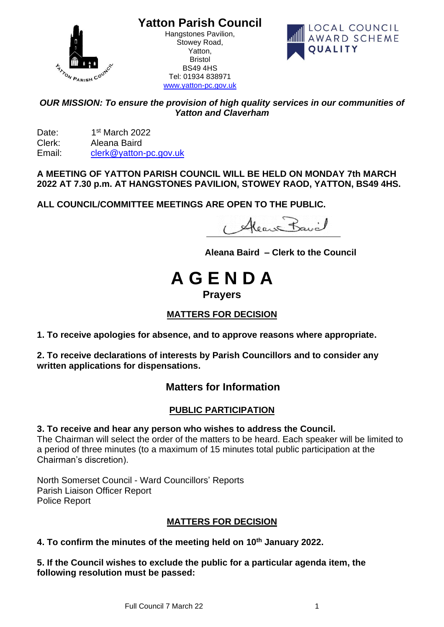**Yatton Parish Council**



Hangstones Pavilion, Stowey Road, Yatton, Bristol BS49 4HS Tel: 01934 838971 [www.yatton-pc.gov.uk](http://www.yatton-pc.gov.uk/)



*OUR MISSION: To ensure the provision of high quality services in our communities of Yatton and Claverham*

Date:  $1<sup>st</sup>$  March 2022 Clerk: Aleana Baird Email: [clerk@yatton-pc.gov.uk](mailto:clerk@yatton-pc.gov.uk)

#### **A MEETING OF YATTON PARISH COUNCIL WILL BE HELD ON MONDAY 7th MARCH 2022 AT 7.30 p.m. AT HANGSTONES PAVILION, STOWEY RAOD, YATTON, BS49 4HS.**

**ALL COUNCIL/COMMITTEE MEETINGS ARE OPEN TO THE PUBLIC.**

Alean Bavil

 **Aleana Baird – Clerk to the Council**

# **A G E N D A Prayers**

## **MATTERS FOR DECISION**

**1. To receive apologies for absence, and to approve reasons where appropriate.**

**2. To receive declarations of interests by Parish Councillors and to consider any written applications for dispensations.**

# **Matters for Information**

## **PUBLIC PARTICIPATION**

**3. To receive and hear any person who wishes to address the Council.**

The Chairman will select the order of the matters to be heard. Each speaker will be limited to a period of three minutes (to a maximum of 15 minutes total public participation at the Chairman's discretion).

North Somerset Council - Ward Councillors' Reports Parish Liaison Officer Report Police Report

## **MATTERS FOR DECISION**

**4. To confirm the minutes of the meeting held on 10th January 2022.**

**5. If the Council wishes to exclude the public for a particular agenda item, the following resolution must be passed:**